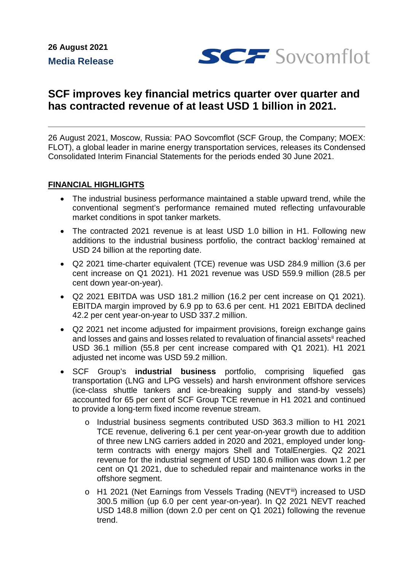

# **SCF improves key financial metrics quarter over quarter and has contracted revenue of at least USD 1 billion in 2021.**

26 August 2021, Moscow, Russia: PAO Sovcomflot (SCF Group, the Company; MOEX: FLOT), a global leader in marine energy transportation services, releases its Condensed Consolidated Interim Financial Statements for the periods ended 30 June 2021.

### **FINANCIAL HIGHLIGHTS**

- The industrial business performance maintained a stable upward trend, while the conventional segment's performance remained muted reflecting unfavourable market conditions in spot tanker markets.
- The contracted 2021 revenue is at least USD 1.0 billion in H1. Following new add[i](#page-5-0)tions to the industrial business portfolio, the contract backlog remained at USD 24 billion at the reporting date.
- Q2 2021 time-charter equivalent (TCE) revenue was USD 284.9 million (3.6 per cent increase on Q1 2021). H1 2021 revenue was USD 559.9 million (28.5 per cent down year-on-year).
- Q2 2021 EBITDA was USD 181.2 million (16.2 per cent increase on Q1 2021). EBITDA margin improved by 6.9 pp to 63.6 per cent. H1 2021 EBITDA declined 42.2 per cent year-on-year to USD 337.2 million.
- Q2 2021 net income adjusted for impairment provisions, foreign exchange gains and losses and gains and losses related to revaluation of financial assets<sup>[ii](#page-5-1)</sup> reached USD 36.1 million (55.8 per cent increase compared with Q1 2021). H1 2021 adjusted net income was USD 59.2 million.
- SCF Group's **industrial business** portfolio, comprising liquefied gas transportation (LNG and LPG vessels) and harsh environment offshore services (ice-class shuttle tankers and ice-breaking supply and stand-by vessels) accounted for 65 per cent of SCF Group TCE revenue in H1 2021 and continued to provide a long-term fixed income revenue stream.
	- o Industrial business segments contributed USD 363.3 million to H1 2021 TCE revenue, delivering 6.1 per cent year-on-year growth due to addition of three new LNG carriers added in 2020 and 2021, employed under longterm contracts with energy majors Shell and TotalEnergies. Q2 2021 revenue for the industrial segment of USD 180.6 million was down 1.2 per cent on Q1 2021, due to scheduled repair and maintenance works in the offshore segment.
	- o H1 2021 (Net Earnings from Vessels Trading (NEVT[iii](#page-5-2)) increased to USD 300.5 million (up 6.0 per cent year-on-year). In Q2 2021 NEVT reached USD 148.8 million (down 2.0 per cent on Q1 2021) following the revenue trend.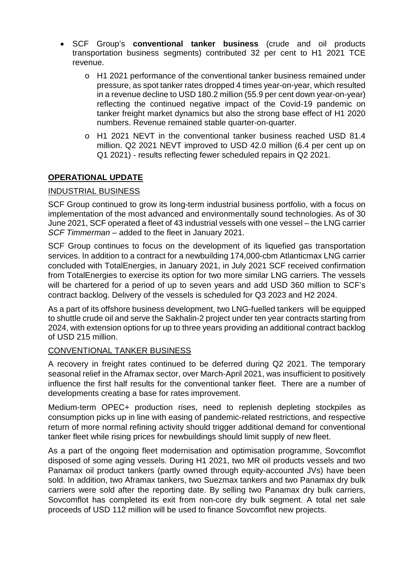- SCF Group's **conventional tanker business** (crude and oil products transportation business segments) contributed 32 per cent to H1 2021 TCE revenue.
	- o H1 2021 performance of the conventional tanker business remained under pressure, as spot tanker rates dropped 4 times year-on-year, which resulted in a revenue decline to USD 180.2 million (55.9 per cent down year-on-year) reflecting the continued negative impact of the Covid-19 pandemic on tanker freight market dynamics but also the strong base effect of H1 2020 numbers. Revenue remained stable quarter-on-quarter.
	- o H1 2021 NEVT in the conventional tanker business reached USD 81.4 million. Q2 2021 NEVT improved to USD 42.0 million (6.4 per cent up on Q1 2021) - results reflecting fewer scheduled repairs in Q2 2021.

# **OPERATIONAL UPDATE**

# INDUSTRIAL BUSINESS

SCF Group continued to grow its long-term industrial business portfolio, with a focus on implementation of the most advanced and environmentally sound technologies. As of 30 June 2021, SCF operated a fleet of 43 industrial vessels with one vessel – the LNG carrier *SCF Timmerman* – added to the fleet in January 2021.

SCF Group continues to focus on the development of its liquefied gas transportation services. In addition to a contract for a newbuilding 174,000-cbm Atlanticmax LNG carrier concluded with TotalEnergies, in January 2021, in July 2021 SCF received confirmation from TotalEnergies to exercise its option for two more similar LNG carriers. The vessels will be chartered for a period of up to seven years and add USD 360 million to SCF's contract backlog. Delivery of the vessels is scheduled for Q3 2023 and H2 2024.

As a part of its offshore business development, two LNG-fuelled tankers will be equipped to shuttle crude oil and serve the Sakhalin-2 project under ten year contracts starting from 2024, with extension options for up to three years providing an additional contract backlog of USD 215 million.

### CONVENTIONAL TANKER BUSINESS

A recovery in freight rates continued to be deferred during Q2 2021. The temporary seasonal relief in the Aframax sector, over March-April 2021, was insufficient to positively influence the first half results for the conventional tanker fleet. There are a number of developments creating a base for rates improvement.

Medium-term OPEC+ production rises, need to replenish depleting stockpiles as consumption picks up in line with easing of pandemic-related restrictions, and respective return of more normal refining activity should trigger additional demand for conventional tanker fleet while rising prices for newbuildings should limit supply of new fleet.

As a part of the ongoing fleet modernisation and optimisation programme, Sovcomflot disposed of some aging vessels. During H1 2021, two MR oil products vessels and two Panamax oil product tankers (partly owned through equity-accounted JVs) have been sold. In addition, two Aframax tankers, two Suezmax tankers and two Panamax dry bulk carriers were sold after the reporting date. By selling two Panamax dry bulk carriers, Sovcomflot has completed its exit from non-core dry bulk segment. A total net sale proceeds of USD 112 million will be used to finance Sovcomflot new projects.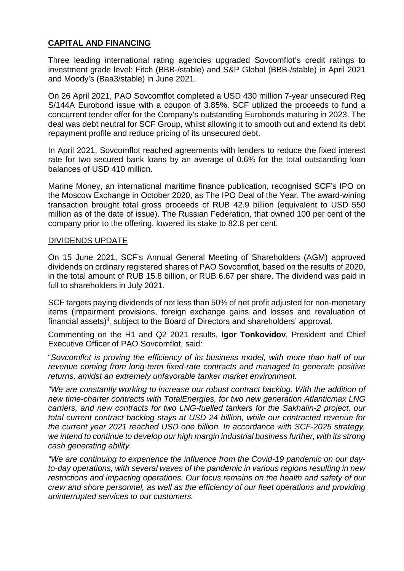## **CAPITAL AND FINANCING**

Three leading international rating agencies upgraded Sovcomflot's credit ratings to investment grade level: Fitch (BBB-/stable) and S&P Global (BBB-/stable) in April 2021 and Moody's (Baa3/stable) in June 2021.

On 26 April 2021, PAO Sovcomflot completed a USD 430 million 7-year unsecured Reg S/144A Eurobond issue with a coupon of 3.85%. SCF utilized the proceeds to fund a concurrent tender offer for the Company's outstanding Eurobonds maturing in 2023. The deal was debt neutral for SCF Group, whilst allowing it to smooth out and extend its debt repayment profile and reduce pricing of its unsecured debt.

In April 2021, Sovcomflot reached agreements with lenders to reduce the fixed interest rate for two secured bank loans by an average of 0.6% for the total outstanding loan balances of USD 410 million.

Marine Money, an international maritime finance publication, recognised SCF's IPO on the Moscow Exchange in October 2020, as The IPO Deal of the Year. The award-wining transaction brought total gross proceeds of RUB 42.9 billion (equivalent to USD 550 million as of the date of issue). The Russian Federation, that owned 100 per cent of the company prior to the offering, lowered its stake to 82.8 per cent.

### DIVIDENDS UPDATE

On 15 June 2021, SCF's Annual General Meeting of Shareholders (AGM) approved dividends on ordinary registered shares of PAO Sovcomflot, based on the results of 2020, in the total amount of RUB 15.8 billion, or RUB 6.67 per share. The dividend was paid in full to shareholders in July 2021.

SCF targets paying dividends of not less than 50% of net profit adjusted for non-monetary items (impairment provisions, foreign exchange gains and losses and revaluation of financial assets)<sup>ii</sup>, subject to the Board of Directors and shareholders' approval.

Commenting on the H1 and Q2 2021 results, **Igor Tonkovidov**, President and Chief Executive Officer of PAO Sovcomflot, said:

"*Sovcomflot is proving the efficiency of its business model, with more than half of our revenue coming from long-term fixed-rate contracts and managed to generate positive returns, amidst an extremely unfavorable tanker market environment.*

*"We are constantly working to increase our robust contract backlog. With the addition of new time-charter contracts with TotalEnergies, for two new generation Atlanticmax LNG carriers, and new contracts for two LNG-fuelled tankers for the Sakhalin-2 project, our total current contract backlog stays at USD 24 billion, while our contracted revenue for the current year 2021 reached USD one billion. In accordance with SCF-2025 strategy, we intend to continue to develop our high margin industrial business further, with its strong cash generating ability.* 

*"We are continuing to experience the influence from the Covid-19 pandemic on our dayto-day operations, with several waves of the pandemic in various regions resulting in new restrictions and impacting operations. Our focus remains on the health and safety of our crew and shore personnel, as well as the efficiency of our fleet operations and providing uninterrupted services to our customers.*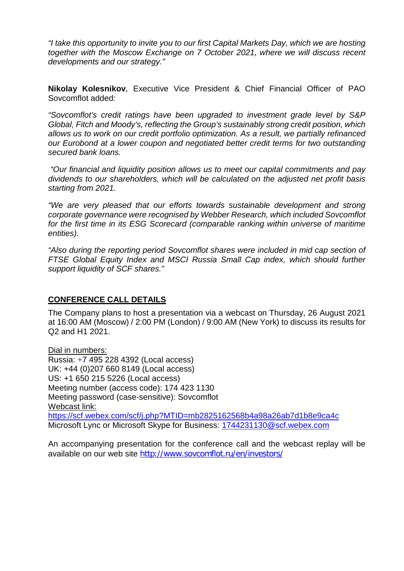*"I take this opportunity to invite you to our first Capital Markets Day, which we are hosting together with the Moscow Exchange on 7 October 2021, where we will discuss recent developments and our strategy."*

**Nikolay Kolesnikov**, Executive Vice President & Chief Financial Officer of PAO Sovcomflot added:

*"Sovcomflot's credit ratings have been upgraded to investment grade level by S&P Global, Fitch and Moody's, reflecting the Group's sustainably strong credit position, which allows us to work on our credit portfolio optimization. As a result, we partially refinanced our Eurobond at a lower coupon and negotiated better credit terms for two outstanding secured bank loans.* 

*"Our financial and liquidity position allows us to meet our capital commitments and pay dividends to our shareholders, which will be calculated on the adjusted net profit basis starting from 2021.*

*"We are very pleased that our efforts towards sustainable development and strong corporate governance were recognised by Webber Research, which included Sovcomflot*  for the first time in its ESG Scorecard (comparable ranking within universe of maritime *entities).*

*"Also during the reporting period Sovcomflot shares were included in mid cap section of FTSE Global Equity Index and MSCI Russia Small Cap index, which should further support liquidity of SCF shares."*

# **CONFERENCE CALL DETAILS**

The Company plans to host a presentation via a webcast on Thursday, 26 August 2021 at 16:00 AM (Moscow) / 2:00 PM (London) / 9:00 AM (New York) to discuss its results for Q2 and H1 2021.

Dial in numbers: Russia: +7 495 228 4392 (Local access) UK: +44 (0)207 660 8149 (Local access) US: +1 650 215 5226 (Local access) Meeting number (access code): 174 423 1130 Meeting password (case-sensitive): Sovcomflot Webcast link: https://scf.webex.com/scf/j.php?MTID=mb2825162568b4a98a26ab7d1b8e9ca4c Microsoft Lync or Microsoft Skype for Business: [1744231130@scf.webex.com](mailto:1744231130@scf.webex.com)

An accompanying presentation for the conference call and the webcast replay will be available on our web site <http://www.sovcomflot.ru/en/investors/>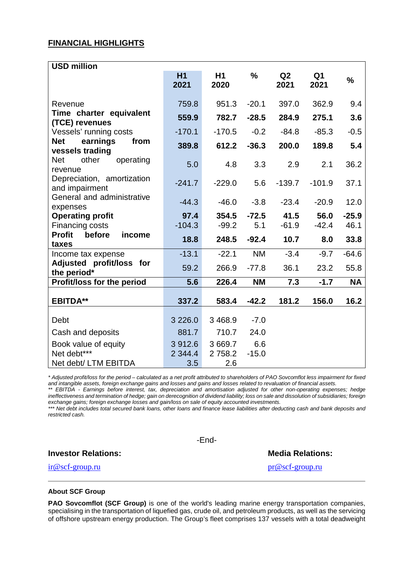#### **FINANCIAL HIGHLIGHTS**

| <b>USD million</b>                                |            |                        |               |                        |                        |               |
|---------------------------------------------------|------------|------------------------|---------------|------------------------|------------------------|---------------|
|                                                   | H1<br>2021 | H <sub>1</sub><br>2020 | $\frac{1}{2}$ | Q <sub>2</sub><br>2021 | Q <sub>1</sub><br>2021 | $\frac{1}{2}$ |
| Revenue                                           | 759.8      | 951.3                  | $-20.1$       | 397.0                  | 362.9                  | 9.4           |
| Time charter equivalent<br>(TCE) revenues         | 559.9      | 782.7                  | $-28.5$       | 284.9                  | 275.1                  | 3.6           |
| Vessels' running costs                            | $-170.1$   | $-170.5$               | $-0.2$        | $-84.8$                | $-85.3$                | $-0.5$        |
| earnings<br><b>Net</b><br>from<br>vessels trading | 389.8      | 612.2                  | $-36.3$       | 200.0                  | 189.8                  | 5.4           |
| <b>Net</b><br>other<br>operating<br>revenue       | 5.0        | 4.8                    | 3.3           | 2.9                    | 2.1                    | 36.2          |
| Depreciation, amortization<br>and impairment      | $-241.7$   | $-229.0$               | 5.6           | $-139.7$               | $-101.9$               | 37.1          |
| General and administrative<br>expenses            | $-44.3$    | $-46.0$                | $-3.8$        | $-23.4$                | $-20.9$                | 12.0          |
| <b>Operating profit</b>                           | 97.4       | 354.5                  | $-72.5$       | 41.5                   | 56.0                   | $-25.9$       |
| Financing costs                                   | $-104.3$   | $-99.2$                | 5.1           | $-61.9$                | $-42.4$                | 46.1          |
| <b>Profit</b><br>before<br>income<br>taxes        | 18.8       | 248.5                  | $-92.4$       | 10.7                   | 8.0                    | 33.8          |
| Income tax expense                                | $-13.1$    | $-22.1$                | <b>NM</b>     | $-3.4$                 | $-9.7$                 | $-64.6$       |
| Adjusted profit/loss for<br>the period*           | 59.2       | 266.9                  | $-77.8$       | 36.1                   | 23.2                   | 55.8          |
| <b>Profit/loss for the period</b>                 | 5.6        | 226.4                  | <b>NM</b>     | 7.3                    | $-1.7$                 | <b>NA</b>     |
| <b>EBITDA**</b>                                   | 337.2      | 583.4                  | $-42.2$       | 181.2                  | 156.0                  | 16.2          |
| Debt                                              | 3 2 2 6 .0 | 3 4 68.9               | $-7.0$        |                        |                        |               |
| Cash and deposits                                 | 881.7      | 710.7                  | 24.0          |                        |                        |               |
| Book value of equity                              | 3 912.6    | 3 669.7                | 6.6           |                        |                        |               |
| Net debt***                                       | 2 3 4 4.4  | 2 7 5 8.2              | $-15.0$       |                        |                        |               |
| Net debt/ LTM EBITDA                              | 3.5        | 2.6                    |               |                        |                        |               |

*\* Adjusted profit/loss for the period – calculated as a net profit attributed to shareholders of PAO Sovcomflot less impairment for fixed and intangible assets, foreign exchange gains and losses and gains and losses related to revaluation of financial assets.*

*\*\* EBITDA - Earnings before interest, tax, depreciation and amortisation adjusted for other non-operating expenses; hedge*  ineffectiveness and termination of hedge; gain on derecognition of dividend liability; loss on sale and dissolution of subsidiaries; foreign *exchange gains; foreign exchange losses and gain/loss on sale of equity accounted investments.*

*\*\*\* Net debt includes total secured bank loans, other loans and finance lease liabilities after deducting cash and bank deposits and restricted cash.*

**Investor Relations: Media Relations: Media Relations:** 

-End-

ir@scf-group.ru pr@scf-group.ru

#### **About SCF Group**

**PAO Sovcomflot (SCF Group)** is one of the world's leading marine energy transportation companies, specialising in the transportation of liquefied gas, crude oil, and petroleum products, as well as the servicing of offshore upstream energy production. The Group's fleet comprises 137 vessels with a total deadweight